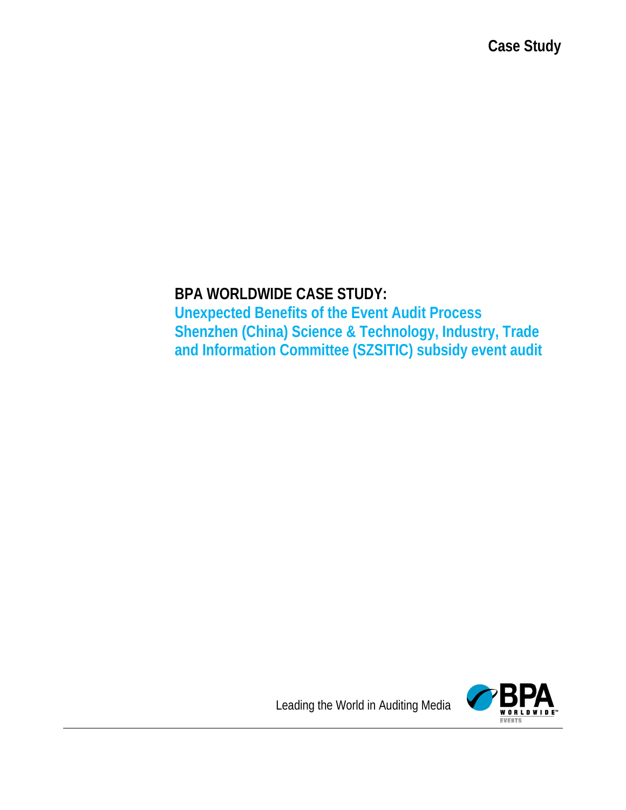# **BPA WORLDWIDE CASE STUDY:**

**Unexpected Benefits of the Event Audit Process Shenzhen (China) Science & Technology, Industry, Trade and Information Committee (SZSITIC) subsidy event audit** 



Leading the World in Auditing Media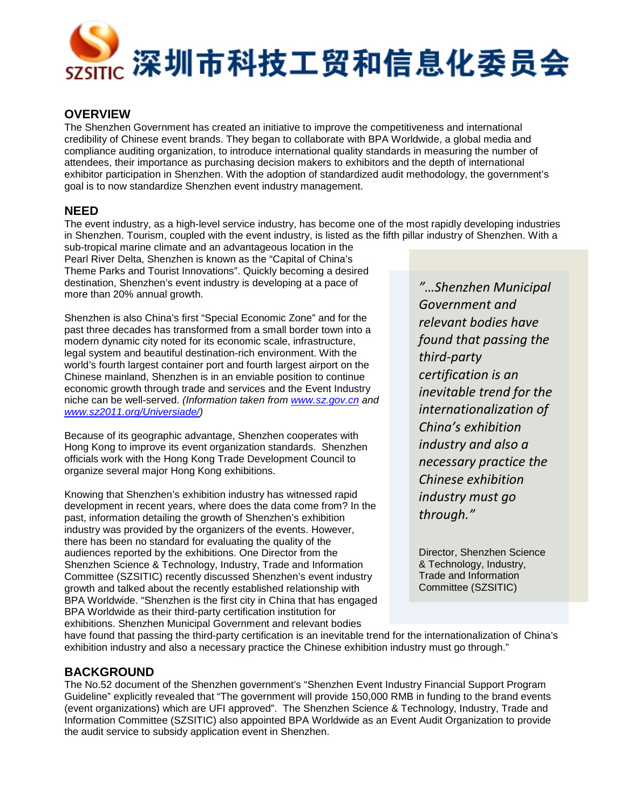

#### **OVERVIEW**

The Shenzhen Government has created an initiative to improve the competitiveness and international credibility of Chinese event brands. They began to collaborate with BPA Worldwide, a global media and compliance auditing organization, to introduce international quality standards in measuring the number of attendees, their importance as purchasing decision makers to exhibitors and the depth of international exhibitor participation in Shenzhen. With the adoption of standardized audit methodology, the government's goal is to now standardize Shenzhen event industry management.

### **NEED**

The event industry, as a high-level service industry, has become one of the most rapidly developing industries in Shenzhen. Tourism, coupled with the event industry, is listed as the fifth pillar industry of Shenzhen. With a

sub-tropical marine climate and an advantageous location in the Pearl River Delta, Shenzhen is known as the "Capital of China's Theme Parks and Tourist Innovations". Quickly becoming a desired destination, Shenzhen's event industry is developing at a pace of more than 20% annual growth.

Shenzhen is also China's first "Special Economic Zone" and for the past three decades has transformed from a small border town into a modern dynamic city noted for its economic scale, infrastructure, legal system and beautiful destination-rich environment. With the world's fourth largest container port and fourth largest airport on the Chinese mainland, Shenzhen is in an enviable position to continue economic growth through trade and services and the Event Industry niche can be well-served. *(Information taken from [www.sz.gov.cn](http://www.sz.gov.cn/) and [www.sz2011.org/Universiade/\)](http://www.sz2011.org/Universiade/)*

Because of its geographic advantage, Shenzhen cooperates with Hong Kong to improve its event organization standards. Shenzhen officials work with the Hong Kong Trade Development Council to organize several major Hong Kong exhibitions.

Knowing that Shenzhen's exhibition industry has witnessed rapid development in recent years, where does the data come from? In the past, information detailing the growth of Shenzhen's exhibition industry was provided by the organizers of the events. However, there has been no standard for evaluating the quality of the audiences reported by the exhibitions. One Director from the Shenzhen Science & Technology, Industry, Trade and Information Committee (SZSITIC) recently discussed Shenzhen's event industry growth and talked about the recently established relationship with BPA Worldwide. "Shenzhen is the first city in China that has engaged BPA Worldwide as their third-party certification institution for exhibitions. Shenzhen Municipal Government and relevant bodies

*"…Shenzhen Municipal Government and relevant bodies have found that passing the third-party certification is an inevitable trend for the internationalization of China's exhibition industry and also a necessary practice the Chinese exhibition industry must go through."*

Director, Shenzhen Science & Technology, Industry, Trade and Information Committee (SZSITIC)

have found that passing the third-party certification is an inevitable trend for the internationalization of China's exhibition industry and also a necessary practice the Chinese exhibition industry must go through."

### **BACKGROUND**

The No.52 document of the Shenzhen government's "Shenzhen Event Industry Financial Support Program Guideline" explicitly revealed that "The government will provide 150,000 RMB in funding to the brand events (event organizations) which are UFI approved". The Shenzhen Science & Technology, Industry, Trade and Information Committee (SZSITIC) also appointed BPA Worldwide as an Event Audit Organization to provide the audit service to subsidy application event in Shenzhen.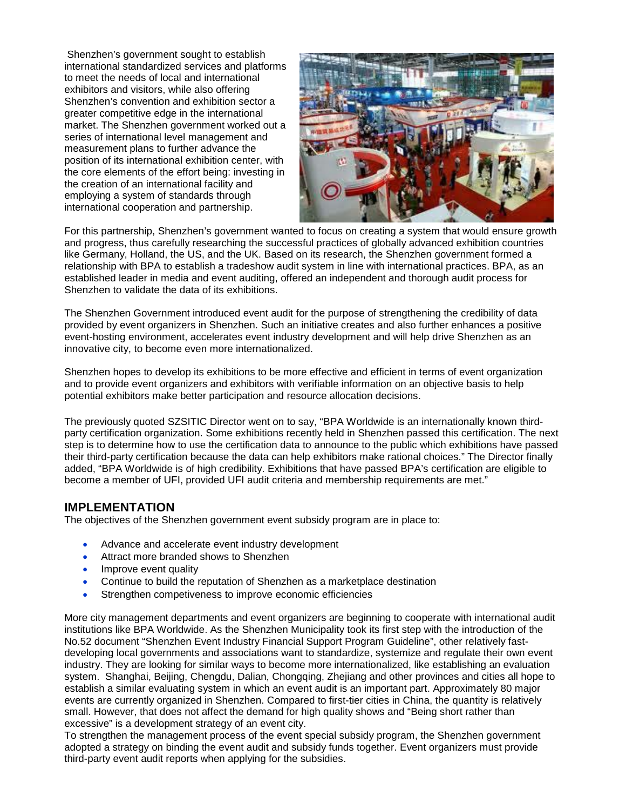Shenzhen's government sought to establish international standardized services and platforms to meet the needs of local and international exhibitors and visitors, while also offering Shenzhen's convention and exhibition sector a greater competitive edge in the international market. The Shenzhen government worked out a series of international level management and measurement plans to further advance the position of its international exhibition center, with the core elements of the effort being: investing in the creation of an international facility and employing a system of standards through international cooperation and partnership.



For this partnership, Shenzhen's government wanted to focus on creating a system that would ensure growth and progress, thus carefully researching the successful practices of globally advanced exhibition countries like Germany, Holland, the US, and the UK. Based on its research, the Shenzhen government formed a relationship with BPA to establish a tradeshow audit system in line with international practices. BPA, as an established leader in media and event auditing, offered an independent and thorough audit process for Shenzhen to validate the data of its exhibitions.

The Shenzhen Government introduced event audit for the purpose of strengthening the credibility of data provided by event organizers in Shenzhen. Such an initiative creates and also further enhances a positive event-hosting environment, accelerates event industry development and will help drive Shenzhen as an innovative city, to become even more internationalized.

Shenzhen hopes to develop its exhibitions to be more effective and efficient in terms of event organization and to provide event organizers and exhibitors with verifiable information on an objective basis to help potential exhibitors make better participation and resource allocation decisions.

The previously quoted SZSITIC Director went on to say, "BPA Worldwide is an internationally known thirdparty certification organization. Some exhibitions recently held in Shenzhen passed this certification. The next step is to determine how to use the certification data to announce to the public which exhibitions have passed their third-party certification because the data can help exhibitors make rational choices." The Director finally added, "BPA Worldwide is of high credibility. Exhibitions that have passed BPA's certification are eligible to become a member of UFI, provided UFI audit criteria and membership requirements are met."

#### **IMPLEMENTATION**

The objectives of the Shenzhen government event subsidy program are in place to:

- Advance and accelerate event industry development
- Attract more branded shows to Shenzhen
- Improve event quality
- Continue to build the reputation of Shenzhen as a marketplace destination
- Strengthen competiveness to improve economic efficiencies

More city management departments and event organizers are beginning to cooperate with international audit institutions like BPA Worldwide. As the Shenzhen Municipality took its first step with the introduction of the No.52 document "Shenzhen Event Industry Financial Support Program Guideline", other relatively fastdeveloping local governments and associations want to standardize, systemize and regulate their own event industry. They are looking for similar ways to become more internationalized, like establishing an evaluation system. Shanghai, Beijing, Chengdu, Dalian, Chongqing, Zhejiang and other provinces and cities all hope to establish a similar evaluating system in which an event audit is an important part. Approximately 80 major events are currently organized in Shenzhen. Compared to first-tier cities in China, the quantity is relatively small. However, that does not affect the demand for high quality shows and "Being short rather than excessive" is a development strategy of an event city.

To strengthen the management process of the event special subsidy program, the Shenzhen government adopted a strategy on binding the event audit and subsidy funds together. Event organizers must provide third-party event audit reports when applying for the subsidies.